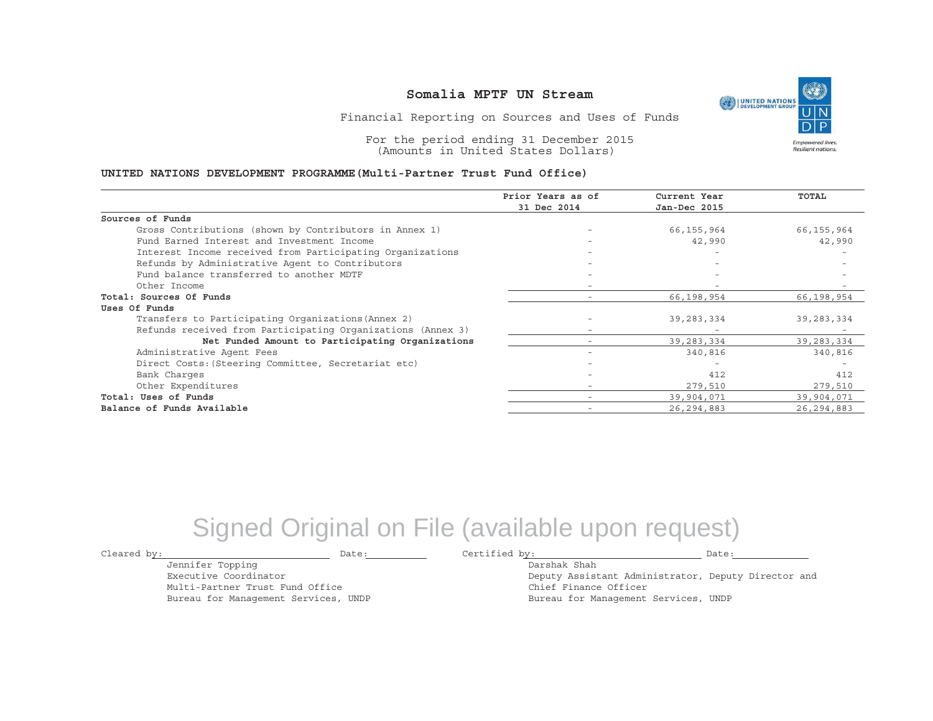UNITED NATIONS **Empowered lives** Resilient nations.

Financial Reporting on Sources and Uses of Funds

For the period ending 31 December 2015 (Amounts in United States Dollars)

#### **UNITED NATIONS DEVELOPMENT PROGRAMME(Multi-Partner Trust Fund Office)**

|                                                             | Prior Years as of | Current Year | <b>TOTAL</b> |
|-------------------------------------------------------------|-------------------|--------------|--------------|
|                                                             | 31 Dec 2014       | Jan-Dec 2015 |              |
| Sources of Funds                                            |                   |              |              |
| Gross Contributions (shown by Contributors in Annex 1)      |                   | 66,155,964   | 66,155,964   |
| Fund Earned Interest and Investment Income                  |                   | 42,990       | 42,990       |
| Interest Income received from Participating Organizations   |                   |              |              |
| Refunds by Administrative Agent to Contributors             |                   |              |              |
| Fund balance transferred to another MDTF                    |                   |              |              |
| Other Income                                                |                   |              |              |
| Total: Sources Of Funds                                     |                   | 66,198,954   | 66,198,954   |
| Uses Of Funds                                               |                   |              |              |
| Transfers to Participating Organizations (Annex 2)          |                   | 39,283,334   | 39,283,334   |
| Refunds received from Participating Organizations (Annex 3) | -                 |              |              |
| Net Funded Amount to Participating Organizations            |                   | 39, 283, 334 | 39, 283, 334 |
| Administrative Agent Fees                                   |                   | 340,816      | 340,816      |
| Direct Costs: (Steering Committee, Secretariat etc)         |                   |              |              |
| Bank Charges                                                |                   | 412          | 412          |
| Other Expenditures                                          | -                 | 279,510      | 279,510      |
| Total: Uses of Funds                                        |                   | 39,904,071   | 39,904,071   |
| Balance of Funds Available                                  |                   | 26, 294, 883 | 26, 294, 883 |

## Signed Original on File (available upon request)

Jennifer Topping Executive Coordinator

Multi-Partner Trust Fund Office Bureau for Management Services, UNDP

Cleared by: Date: Certified by: Date:

Darshak ShahDeputy Assistant Administrator, Deputy Director and Chief Finance Officer Bureau for Management Services, UNDP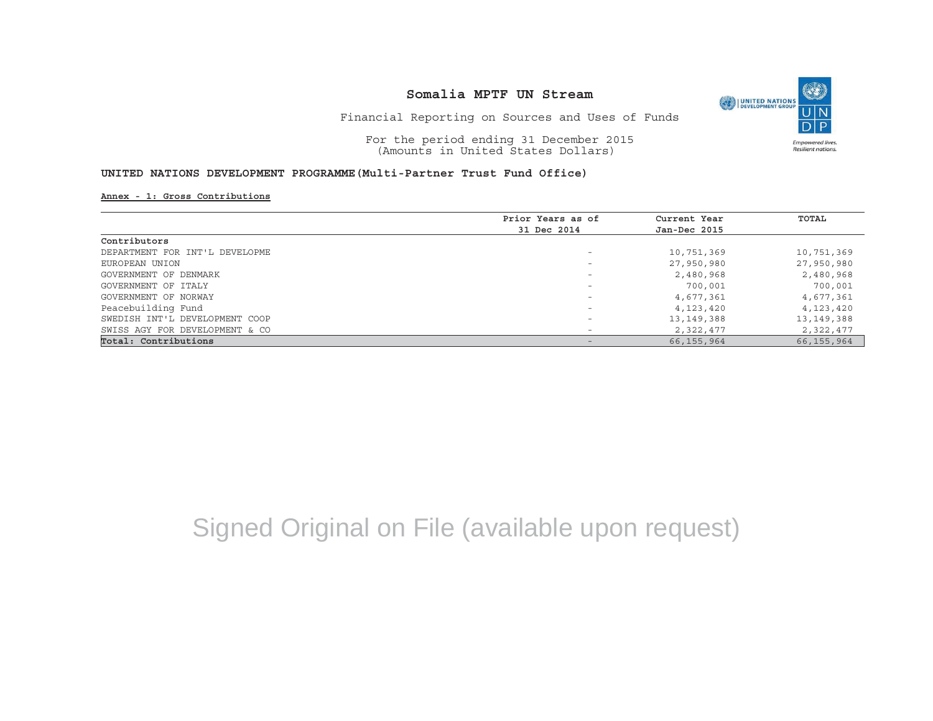

Financial Reporting on Sources and Uses of Funds

For the period ending 31 December 2015 (Amounts in United States Dollars)

#### **UNITED NATIONS DEVELOPMENT PROGRAMME(Multi-Partner Trust Fund Office)**

**Annex - 1: Gross Contributions**

|                                | Prior Years as of | Current Year | TOTAL        |
|--------------------------------|-------------------|--------------|--------------|
|                                | 31 Dec 2014       | Jan-Dec 2015 |              |
| Contributors                   |                   |              |              |
| DEPARTMENT FOR INT'L DEVELOPME |                   | 10,751,369   | 10,751,369   |
| EUROPEAN UNION                 |                   | 27,950,980   | 27,950,980   |
| GOVERNMENT OF DENMARK          |                   | 2,480,968    | 2,480,968    |
| GOVERNMENT OF ITALY            |                   | 700,001      | 700,001      |
| GOVERNMENT OF NORWAY           |                   | 4,677,361    | 4,677,361    |
| Peacebuilding Fund             |                   | 4,123,420    | 4,123,420    |
| SWEDISH INT'L DEVELOPMENT COOP |                   | 13,149,388   | 13,149,388   |
| SWISS AGY FOR DEVELOPMENT & CO |                   | 2,322,477    | 2,322,477    |
| Total: Contributions           |                   | 66,155,964   | 66, 155, 964 |

# Signed Original on File (available upon request)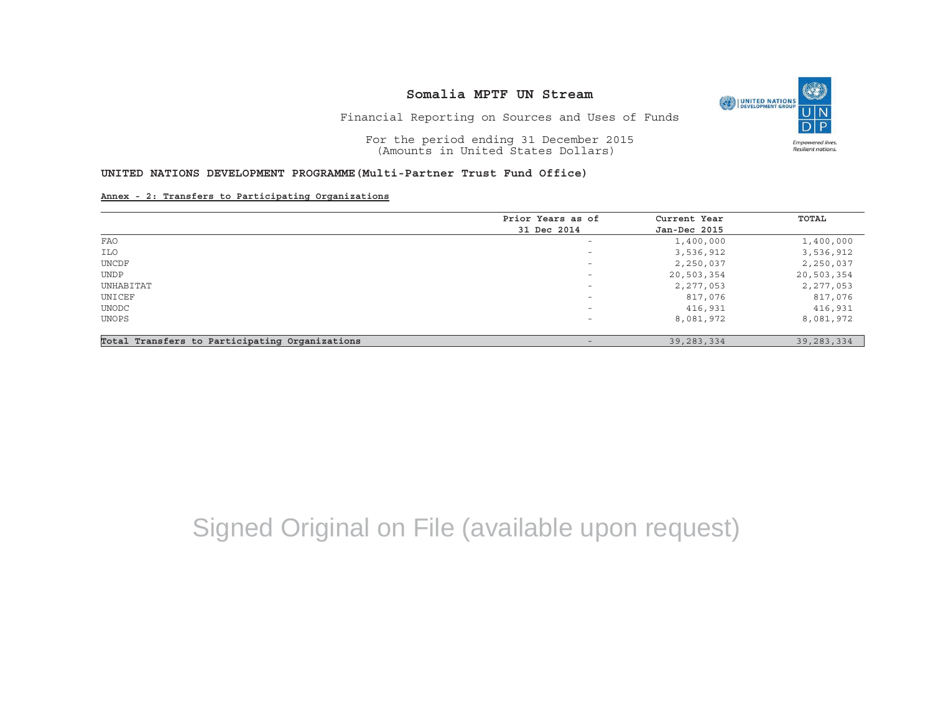

Financial Reporting on Sources and Uses of Funds

For the period ending 31 December 2015 (Amounts in United States Dollars)

## **UNITED NATIONS DEVELOPMENT PROGRAMME(Multi-Partner Trust Fund Office)**

**Annex - 2: Transfers to Participating Organizations**

|                                                | Prior Years as of        | Current Year | TOTAL        |
|------------------------------------------------|--------------------------|--------------|--------------|
|                                                | 31 Dec 2014              | Jan-Dec 2015 |              |
| FAO                                            | $\overline{\phantom{0}}$ | 1,400,000    | 1,400,000    |
| ILO                                            | $\overline{\phantom{0}}$ | 3,536,912    | 3,536,912    |
| UNCDF                                          | $\overline{\phantom{0}}$ | 2,250,037    | 2,250,037    |
| <b>UNDP</b>                                    | $\overline{\phantom{m}}$ | 20,503,354   | 20,503,354   |
| UNHABITAT                                      | $\overline{\phantom{m}}$ | 2,277,053    | 2,277,053    |
| UNICEF                                         | $\overline{\phantom{m}}$ | 817,076      | 817,076      |
| UNODC                                          | $\overline{\phantom{a}}$ | 416,931      | 416,931      |
| UNOPS                                          | $\overline{\phantom{a}}$ | 8,081,972    | 8,081,972    |
| Total Transfers to Participating Organizations | $\qquad \qquad -$        | 39, 283, 334 | 39, 283, 334 |

# Signed Original on File (available upon request)